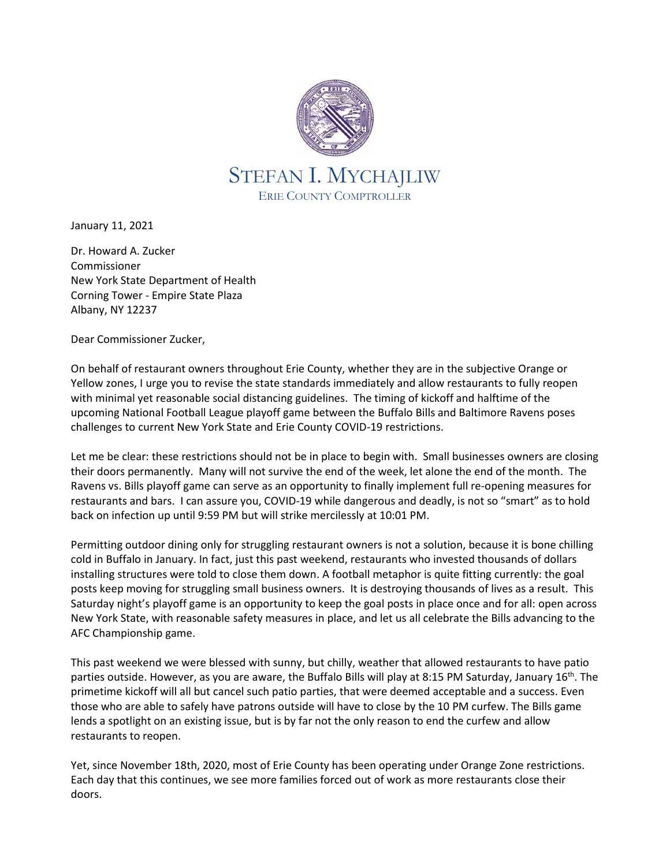

January 11, 2021

Dr. Howard A. Zucker Commissioner New York State Department of Health Corning Tower - Empire State Plaza Albany, NY 12237

Dear Commissioner Zucker,

On behalf of restaurant owners throughout Erie County, whether they are in the subjective Orange or Yellow zones, I urge you to revise the state standards immediately and allow restaurants to fully reopen with minimal yet reasonable social distancing guidelines. The timing of kickoff and halftime of the upcoming National Football League playoff game between the Buffalo Bills and Baltimore Ravens poses challenges to current New York State and Erie County COVID-19 restrictions.

Let me be clear: these restrictions should not be in place to begin with. Small businesses owners are closing their doors permanently. Many will not survive the end of the week, let alone the end of the month. The Ravens vs. Bills playoff game can serve as an opportunity to finally implement full re-opening measures for restaurants and bars. I can assure you, COVID-19 while dangerous and deadly, is not so "smart" as to hold back on infection up until 9:59 PM but will strike mercilessly at 10:01 PM.

Permitting outdoor dining only for struggling restaurant owners is not a solution, because it is bone chilling cold in Buffalo in January. In fact, just this past weekend, restaurants who invested thousands of dollars installing structures were told to close them down. A football metaphor is quite fitting currently: the goal posts keep moving for struggling small business owners. It is destroying thousands of lives as a result. This Saturday night's playoff game is an opportunity to keep the goal posts in place once and for all: open across New York State, with reasonable safety measures in place, and let us all celebrate the Bills advancing to the AFC Championship game.

This past weekend we were blessed with sunny, but chilly, weather that allowed restaurants to have patio parties outside. However, as you are aware, the Buffalo Bills will play at 8:15 PM Saturday, January 16<sup>th</sup>. The primetime kickoff will all but cancel such patio parties, that were deemed acceptable and a success. Even those who are able to safely have patrons outside will have to close by the 10 PM curfew. The Bills game lends a spotlight on an existing issue, but is by far not the only reason to end the curfew and allow restaurants to reopen.

Yet, since November 18th, 2020, most of Erie County has been operating under Orange Zone restrictions. Each day that this continues, we see more families forced out of work as more restaurants close their doors.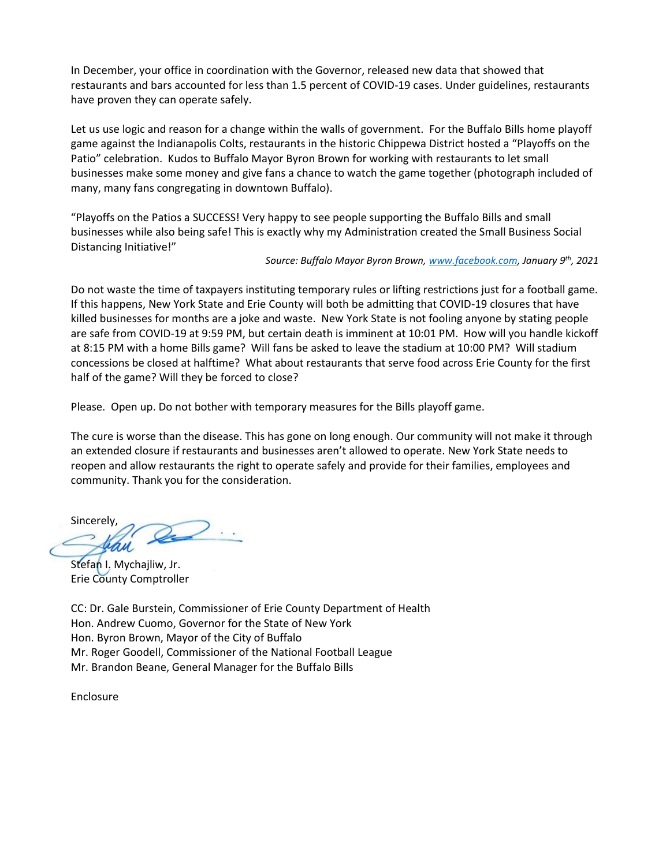In December, your office in coordination with the Governor, released new data that showed that restaurants and bars accounted for less than 1.5 percent of COVID-19 cases. Under guidelines, restaurants have proven they can operate safely.

Let us use logic and reason for a change within the walls of government. For the Buffalo Bills home playoff game against the Indianapolis Colts, restaurants in the historic Chippewa District hosted a "Playoffs on the Patio" celebration. Kudos to Buffalo Mayor Byron Brown for working with restaurants to let small businesses make some money and give fans a chance to watch the game together (photograph included of many, many fans congregating in downtown Buffalo).

"Playoffs on the Patios a SUCCESS! Very happy to see people supporting the Buffalo Bills and small businesses while also being safe! This is exactly why my Administration created the Small Business Social Distancing Initiative!"

## *Source: Buffalo Mayor Byron Brown, [www.facebook.com,](http://www.facebook.com/) January 9 th, 2021*

Do not waste the time of taxpayers instituting temporary rules or lifting restrictions just for a football game. If this happens, New York State and Erie County will both be admitting that COVID-19 closures that have killed businesses for months are a joke and waste. New York State is not fooling anyone by stating people are safe from COVID-19 at 9:59 PM, but certain death is imminent at 10:01 PM. How will you handle kickoff at 8:15 PM with a home Bills game? Will fans be asked to leave the stadium at 10:00 PM? Will stadium concessions be closed at halftime? What about restaurants that serve food across Erie County for the first half of the game? Will they be forced to close?

Please. Open up. Do not bother with temporary measures for the Bills playoff game.

The cure is worse than the disease. This has gone on long enough. Our community will not make it through an extended closure if restaurants and businesses aren't allowed to operate. New York State needs to reopen and allow restaurants the right to operate safely and provide for their families, employees and community. Thank you for the consideration.

Sincerely,

Stefan I. Mychajliw, Jr. Erie County Comptroller

CC: Dr. Gale Burstein, Commissioner of Erie County Department of Health Hon. Andrew Cuomo, Governor for the State of New York Hon. Byron Brown, Mayor of the City of Buffalo Mr. Roger Goodell, Commissioner of the National Football League Mr. Brandon Beane, General Manager for the Buffalo Bills

Enclosure